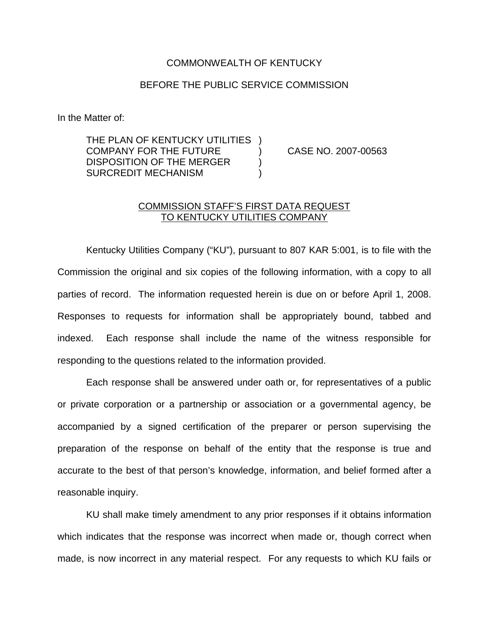## COMMONWEALTH OF KENTUCKY

## BEFORE THE PUBLIC SERVICE COMMISSION

In the Matter of:

THE PLAN OF KENTUCKY UTILITIES ) COMPANY FOR THE FUTURE ) CASE NO. 2007-00563 DISPOSITION OF THE MERGER  $)$ SURCREDIT MECHANISM )

## COMMISSION STAFF'S FIRST DATA REQUEST TO KENTUCKY UTILITIES COMPANY

Kentucky Utilities Company ("KU"), pursuant to 807 KAR 5:001, is to file with the Commission the original and six copies of the following information, with a copy to all parties of record. The information requested herein is due on or before April 1, 2008. Responses to requests for information shall be appropriately bound, tabbed and indexed. Each response shall include the name of the witness responsible for responding to the questions related to the information provided.

Each response shall be answered under oath or, for representatives of a public or private corporation or a partnership or association or a governmental agency, be accompanied by a signed certification of the preparer or person supervising the preparation of the response on behalf of the entity that the response is true and accurate to the best of that person's knowledge, information, and belief formed after a reasonable inquiry.

KU shall make timely amendment to any prior responses if it obtains information which indicates that the response was incorrect when made or, though correct when made, is now incorrect in any material respect. For any requests to which KU fails or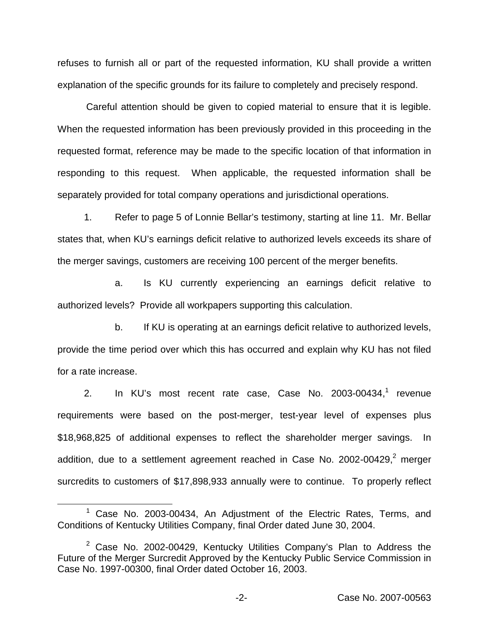refuses to furnish all or part of the requested information, KU shall provide a written explanation of the specific grounds for its failure to completely and precisely respond.

Careful attention should be given to copied material to ensure that it is legible. When the requested information has been previously provided in this proceeding in the requested format, reference may be made to the specific location of that information in responding to this request. When applicable, the requested information shall be separately provided for total company operations and jurisdictional operations.

1. Refer to page 5 of Lonnie Bellar's testimony, starting at line 11. Mr. Bellar states that, when KU's earnings deficit relative to authorized levels exceeds its share of the merger savings, customers are receiving 100 percent of the merger benefits.

a. Is KU currently experiencing an earnings deficit relative to authorized levels? Provide all workpapers supporting this calculation.

b. If KU is operating at an earnings deficit relative to authorized levels, provide the time period over which this has occurred and explain why KU has not filed for a rate increase.

2. In KU's most recent rate case, Case No.  $2003$ -00434,<sup>1</sup> revenue requirements were based on the post-merger, test-year level of expenses plus \$18,968,825 of additional expenses to reflect the shareholder merger savings. In addition, due to a settlement agreement reached in Case No. 2002-00429, $^2$  merger surcredits to customers of \$17,898,933 annually were to continue. To properly reflect

<sup>1</sup> Case No. 2003-00434, An Adjustment of the Electric Rates, Terms, and Conditions of Kentucky Utilities Company, final Order dated June 30, 2004.

 $2$  Case No. 2002-00429, Kentucky Utilities Company's Plan to Address the Future of the Merger Surcredit Approved by the Kentucky Public Service Commission in Case No. 1997-00300, final Order dated October 16, 2003.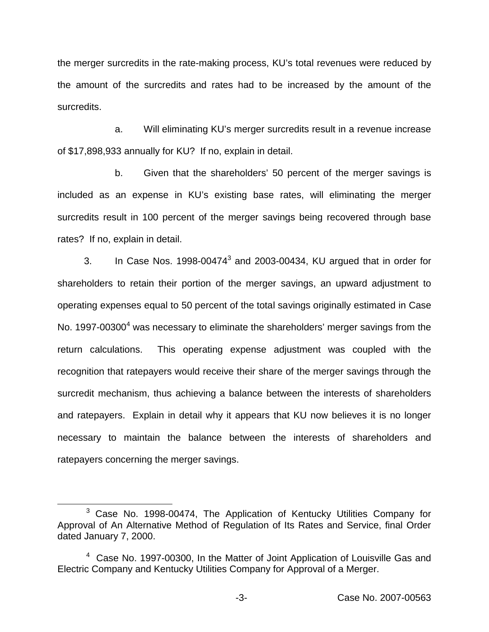the merger surcredits in the rate-making process, KU's total revenues were reduced by the amount of the surcredits and rates had to be increased by the amount of the surcredits.

a. Will eliminating KU's merger surcredits result in a revenue increase of \$17,898,933 annually for KU? If no, explain in detail.

b. Given that the shareholders' 50 percent of the merger savings is included as an expense in KU's existing base rates, will eliminating the merger surcredits result in 100 percent of the merger savings being recovered through base rates? If no, explain in detail.

3. In Case Nos. 1998-00474 $3$  and 2003-00434. KU argued that in order for shareholders to retain their portion of the merger savings, an upward adjustment to operating expenses equal to 50 percent of the total savings originally estimated in Case No. 1997-00300<sup>4</sup> was necessary to eliminate the shareholders' merger savings from the return calculations. This operating expense adjustment was coupled with the recognition that ratepayers would receive their share of the merger savings through the surcredit mechanism, thus achieving a balance between the interests of shareholders and ratepayers. Explain in detail why it appears that KU now believes it is no longer necessary to maintain the balance between the interests of shareholders and ratepayers concerning the merger savings.

<sup>3</sup> Case No. 1998-00474, The Application of Kentucky Utilities Company for Approval of An Alternative Method of Regulation of Its Rates and Service, final Order dated January 7, 2000.

<sup>&</sup>lt;sup>4</sup> Case No. 1997-00300, In the Matter of Joint Application of Louisville Gas and Electric Company and Kentucky Utilities Company for Approval of a Merger.